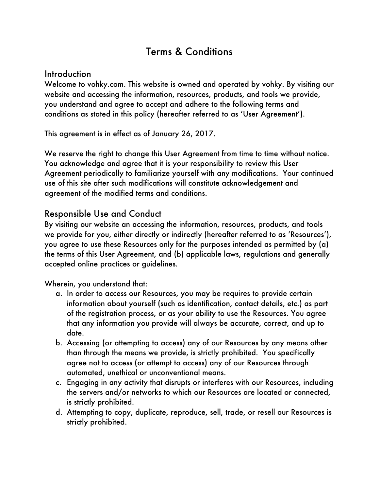# Terms & Conditions

#### Introduction

Welcome to vohky.com. This website is owned and operated by vohky. By visiting our website and accessing the information, resources, products, and tools we provide, you understand and agree to accept and adhere to the following terms and conditions as stated in this policy (hereafter referred to as 'User Agreement').

This agreement is in effect as of January 26, 2017.

We reserve the right to change this User Agreement from time to time without notice. You acknowledge and agree that it is your responsibility to review this User Agreement periodically to familiarize yourself with any modifications. Your continued use of this site after such modifications will constitute acknowledgement and agreement of the modified terms and conditions.

## Responsible Use and Conduct

By visiting our website an accessing the information, resources, products, and tools we provide for you, either directly or indirectly (hereafter referred to as 'Resources'), you agree to use these Resources only for the purposes intended as permitted by (a) the terms of this User Agreement, and (b) applicable laws, regulations and generally accepted online practices or guidelines.

Wherein, you understand that:

- a. In order to access our Resources, you may be requires to provide certain information about yourself (such as identification, contact details, etc.) as part of the registration process, or as your ability to use the Resources. You agree that any information you provide will always be accurate, correct, and up to date.
- b. Accessing (or attempting to access) any of our Resources by any means other than through the means we provide, is strictly prohibited. You specifically agree not to access (or attempt to access) any of our Resources through automated, unethical or unconventional means.
- c. Engaging in any activity that disrupts or interferes with our Resources, including the servers and/or networks to which our Resources are located or connected, is strictly prohibited.
- d. Attempting to copy, duplicate, reproduce, sell, trade, or resell our Resources is strictly prohibited.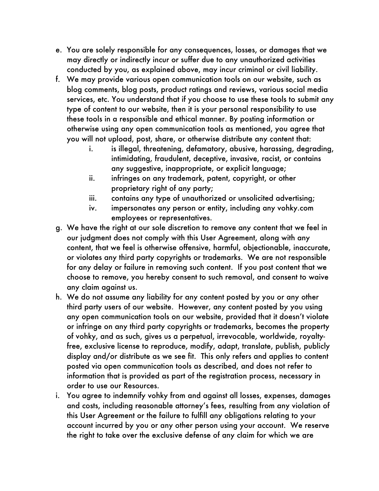- e. You are solely responsible for any consequences, losses, or damages that we may directly or indirectly incur or suffer due to any unauthorized activities conducted by you, as explained above, may incur criminal or civil liability.
- f. We may provide various open communication tools on our website, such as blog comments, blog posts, product ratings and reviews, various social media services, etc. You understand that if you choose to use these tools to submit any type of content to our website, then it is your personal responsibility to use these tools in a responsible and ethical manner. By posting information or otherwise using any open communication tools as mentioned, you agree that you will not upload, post, share, or otherwise distribute any content that:
	- i. is illegal, threatening, defamatory, abusive, harassing, degrading, intimidating, fraudulent, deceptive, invasive, racist, or contains any suggestive, inappropriate, or explicit language;
	- ii. infringes on any trademark, patent, copyright, or other proprietary right of any party;
	- iii. contains any type of unauthorized or unsolicited advertising;
	- iv. impersonates any person or entity, including any vohky.com employees or representatives.
- g. We have the right at our sole discretion to remove any content that we feel in our judgment does not comply with this User Agreement, along with any content, that we feel is otherwise offensive, harmful, objectionable, inaccurate, or violates any third party copyrights or trademarks. We are not responsible for any delay or failure in removing such content. If you post content that we choose to remove, you hereby consent to such removal, and consent to waive any claim against us.
- h. We do not assume any liability for any content posted by you or any other third party users of our website. However, any content posted by you using any open communication tools on our website, provided that it doesn't violate or infringe on any third party copyrights or trademarks, becomes the property of vohky, and as such, gives us a perpetual, irrevocable, worldwide, royaltyfree, exclusive license to reproduce, modify, adapt, translate, publish, publicly display and/or distribute as we see fit. This only refers and applies to content posted via open communication tools as described, and does not refer to information that is provided as part of the registration process, necessary in order to use our Resources.
- i. You agree to indemnify vohky from and against all losses, expenses, damages and costs, including reasonable attorney's fees, resulting from any violation of this User Agreement or the failure to fulfill any obligations relating to your account incurred by you or any other person using your account. We reserve the right to take over the exclusive defense of any claim for which we are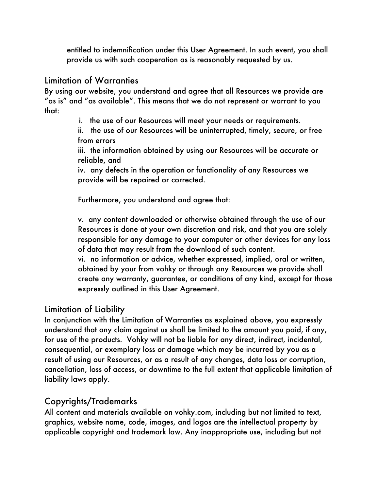entitled to indemnification under this User Agreement. In such event, you shall provide us with such cooperation as is reasonably requested by us.

#### Limitation of Warranties

By using our website, you understand and agree that all Resources we provide are "as is" and "as available". This means that we do not represent or warrant to you that:

i. the use of our Resources will meet your needs or requirements.

ii. the use of our Resources will be uninterrupted, timely, secure, or free from errors

iii. the information obtained by using our Resources will be accurate or reliable, and

iv. any defects in the operation or functionality of any Resources we provide will be repaired or corrected.

Furthermore, you understand and agree that:

v. any content downloaded or otherwise obtained through the use of our Resources is done at your own discretion and risk, and that you are solely responsible for any damage to your computer or other devices for any loss of data that may result from the download of such content.

vi. no information or advice, whether expressed, implied, oral or written, obtained by your from vohky or through any Resources we provide shall create any warranty, guarantee, or conditions of any kind, except for those expressly outlined in this User Agreement.

# Limitation of Liability

In conjunction with the Limitation of Warranties as explained above, you expressly understand that any claim against us shall be limited to the amount you paid, if any, for use of the products. Vohky will not be liable for any direct, indirect, incidental, consequential, or exemplary loss or damage which may be incurred by you as a result of using our Resources, or as a result of any changes, data loss or corruption, cancellation, loss of access, or downtime to the full extent that applicable limitation of liability laws apply.

# Copyrights/Trademarks

All content and materials available on vohky.com, including but not limited to text, graphics, website name, code, images, and logos are the intellectual property by applicable copyright and trademark law. Any inappropriate use, including but not